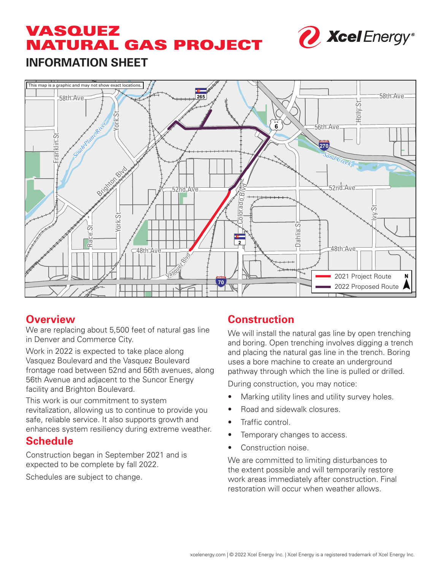# VASQUEZ NATURAL GAS PROJECT



# **INFORMATION SHEET**



#### **Overview**

We are replacing about 5,500 feet of natural gas line in Denver and Commerce City.

Work in 2022 is expected to take place along Vasquez Boulevard and the Vasquez Boulevard frontage road between 52nd and 56th avenues, along 56th Avenue and adjacent to the Suncor Energy facility and Brighton Boulevard.

This work is our commitment to system revitalization, allowing us to continue to provide you safe, reliable service. It also supports growth and enhances system resiliency during extreme weather.

#### **Schedule**

Construction began in September 2021 and is expected to be complete by fall 2022.

Schedules are subject to change.

## **Construction**

We will install the natural gas line by open trenching and boring. Open trenching involves digging a trench and placing the natural gas line in the trench. Boring uses a bore machine to create an underground pathway through which the line is pulled or drilled.

During construction, you may notice:

- Marking utility lines and utility survey holes.
- Road and sidewalk closures.
- Traffic control.
- Temporary changes to access.
- Construction noise.

We are committed to limiting disturbances to the extent possible and will temporarily restore work areas immediately after construction. Final restoration will occur when weather allows.